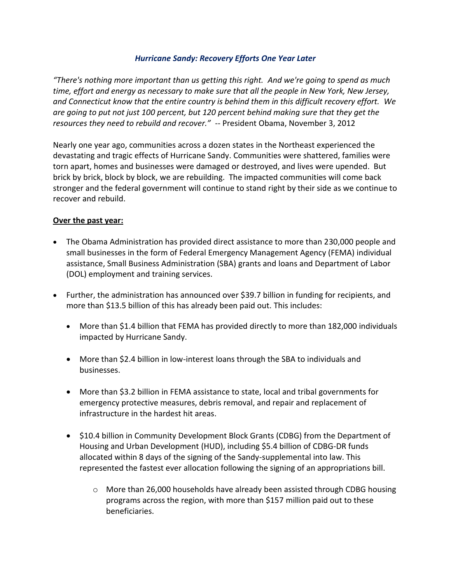### *Hurricane Sandy: Recovery Efforts One Year Later*

*"There's nothing more important than us getting this right. And we're going to spend as much time, effort and energy as necessary to make sure that all the people in New York, New Jersey, and Connecticut know that the entire country is behind them in this difficult recovery effort. We are going to put not just 100 percent, but 120 percent behind making sure that they get the resources they need to rebuild and recover."* -- President Obama, November 3, 2012

Nearly one year ago, communities across a dozen states in the Northeast experienced the devastating and tragic effects of Hurricane Sandy. Communities were shattered, families were torn apart, homes and businesses were damaged or destroyed, and lives were upended. But brick by brick, block by block, we are rebuilding. The impacted communities will come back stronger and the federal government will continue to stand right by their side as we continue to recover and rebuild.

### **Over the past year:**

- The Obama Administration has provided direct assistance to more than 230,000 people and small businesses in the form of Federal Emergency Management Agency (FEMA) individual assistance, Small Business Administration (SBA) grants and loans and Department of Labor (DOL) employment and training services.
- Further, the administration has announced over \$39.7 billion in funding for recipients, and more than \$13.5 billion of this has already been paid out. This includes:
	- More than \$1.4 billion that FEMA has provided directly to more than 182,000 individuals impacted by Hurricane Sandy.
	- More than \$2.4 billion in low-interest loans through the SBA to individuals and businesses.
	- More than \$3.2 billion in FEMA assistance to state, local and tribal governments for emergency protective measures, debris removal, and repair and replacement of infrastructure in the hardest hit areas.
	- \$10.4 billion in Community Development Block Grants (CDBG) from the Department of Housing and Urban Development (HUD), including \$5.4 billion of CDBG-DR funds allocated within 8 days of the signing of the Sandy-supplemental into law. This represented the fastest ever allocation following the signing of an appropriations bill.
		- o More than 26,000 households have already been assisted through CDBG housing programs across the region, with more than \$157 million paid out to these beneficiaries.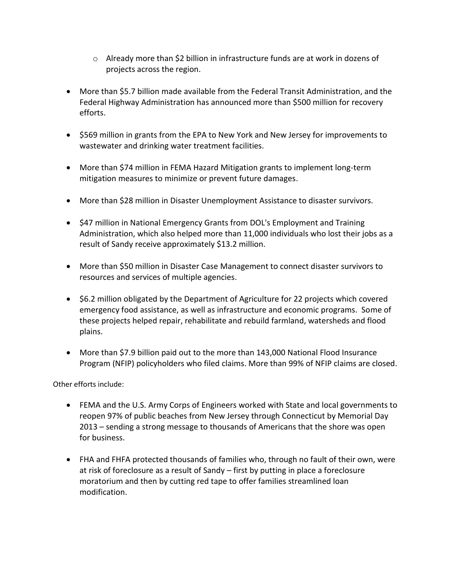- $\circ$  Already more than \$2 billion in infrastructure funds are at work in dozens of projects across the region.
- More than \$5.7 billion made available from the Federal Transit Administration, and the Federal Highway Administration has announced more than \$500 million for recovery efforts.
- \$569 million in grants from the EPA to New York and New Jersey for improvements to wastewater and drinking water treatment facilities.
- More than \$74 million in FEMA Hazard Mitigation grants to implement long-term mitigation measures to minimize or prevent future damages.
- More than \$28 million in Disaster Unemployment Assistance to disaster survivors.
- \$47 million in National Emergency Grants from DOL's Employment and Training Administration, which also helped more than 11,000 individuals who lost their jobs as a result of Sandy receive approximately \$13.2 million.
- More than \$50 million in Disaster Case Management to connect disaster survivors to resources and services of multiple agencies.
- \$6.2 million obligated by the Department of Agriculture for 22 projects which covered emergency food assistance, as well as infrastructure and economic programs. Some of these projects helped repair, rehabilitate and rebuild farmland, watersheds and flood plains.
- More than \$7.9 billion paid out to the more than 143,000 National Flood Insurance Program (NFIP) policyholders who filed claims. More than 99% of NFIP claims are closed.

Other efforts include:

- FEMA and the U.S. Army Corps of Engineers worked with State and local governments to reopen 97% of public beaches from New Jersey through Connecticut by Memorial Day 2013 – sending a strong message to thousands of Americans that the shore was open for business.
- FHA and FHFA protected thousands of families who, through no fault of their own, were at risk of foreclosure as a result of Sandy – first by putting in place a foreclosure moratorium and then by cutting red tape to offer families streamlined loan modification.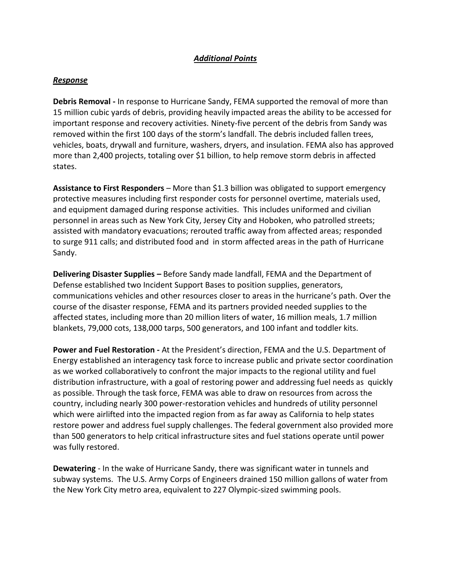# *Additional Points*

#### *Response*

**Debris Removal -** In response to Hurricane Sandy, FEMA supported the removal of more than 15 million cubic yards of debris, providing heavily impacted areas the ability to be accessed for important response and recovery activities. Ninety-five percent of the debris from Sandy was removed within the first 100 days of the storm's landfall. The debris included fallen trees, vehicles, boats, drywall and furniture, washers, dryers, and insulation. FEMA also has approved more than 2,400 projects, totaling over \$1 billion, to help remove storm debris in affected states.

**Assistance to First Responders** – More than \$1.3 billion was obligated to support emergency protective measures including first responder costs for personnel overtime, materials used, and equipment damaged during response activities. This includes uniformed and civilian personnel in areas such as New York City, Jersey City and Hoboken, who patrolled streets; assisted with mandatory evacuations; rerouted traffic away from affected areas; responded to surge 911 calls; and distributed food and in storm affected areas in the path of Hurricane Sandy.

**Delivering Disaster Supplies –** Before Sandy made landfall, FEMA and the Department of Defense established two Incident Support Bases to position supplies, generators, communications vehicles and other resources closer to areas in the hurricane's path. Over the course of the disaster response, FEMA and its partners provided needed supplies to the affected states, including more than 20 million liters of water, 16 million meals, 1.7 million blankets, 79,000 cots, 138,000 tarps, 500 generators, and 100 infant and toddler kits.

**Power and Fuel Restoration -** At the President's direction, FEMA and the U.S. Department of Energy established an interagency task force to increase public and private sector coordination as we worked collaboratively to confront the major impacts to the regional utility and fuel distribution infrastructure, with a goal of restoring power and addressing fuel needs as quickly as possible. Through the task force, FEMA was able to draw on resources from across the country, including nearly 300 power-restoration vehicles and hundreds of utility personnel which were airlifted into the impacted region from as far away as California to help states restore power and address fuel supply challenges. The federal government also provided more than 500 generators to help critical infrastructure sites and fuel stations operate until power was fully restored.

**Dewatering** - In the wake of Hurricane Sandy, there was significant water in tunnels and subway systems. The U.S. Army Corps of Engineers drained 150 million gallons of water from the New York City metro area, equivalent to 227 Olympic-sized swimming pools.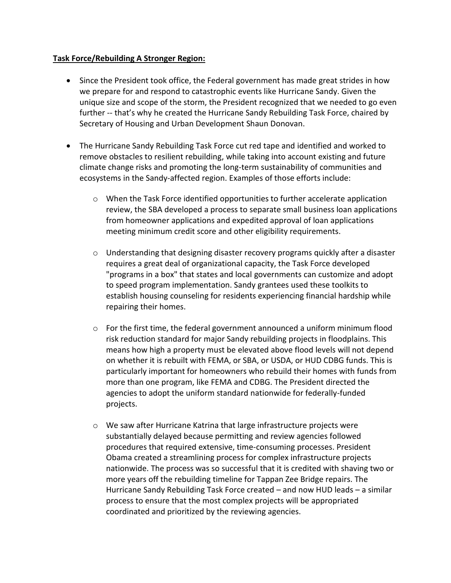### **Task Force/Rebuilding A Stronger Region:**

- Since the President took office, the Federal government has made great strides in how we prepare for and respond to catastrophic events like Hurricane Sandy. Given the unique size and scope of the storm, the President recognized that we needed to go even further -- that's why he created the Hurricane Sandy Rebuilding Task Force, chaired by Secretary of Housing and Urban Development Shaun Donovan.
- The Hurricane Sandy Rebuilding Task Force cut red tape and identified and worked to remove obstacles to resilient rebuilding, while taking into account existing and future climate change risks and promoting the long-term sustainability of communities and ecosystems in the Sandy-affected region. Examples of those efforts include:
	- $\circ$  When the Task Force identified opportunities to further accelerate application review, the SBA developed a process to separate small business loan applications from homeowner applications and expedited approval of loan applications meeting minimum credit score and other eligibility requirements.
	- $\circ$  Understanding that designing disaster recovery programs quickly after a disaster requires a great deal of organizational capacity, the Task Force developed "programs in a box" that states and local governments can customize and adopt to speed program implementation. Sandy grantees used these toolkits to establish housing counseling for residents experiencing financial hardship while repairing their homes.
	- $\circ$  For the first time, the federal government announced a uniform minimum flood risk reduction standard for major Sandy rebuilding projects in floodplains. This means how high a property must be elevated above flood levels will not depend on whether it is rebuilt with FEMA, or SBA, or USDA, or HUD CDBG funds. This is particularly important for homeowners who rebuild their homes with funds from more than one program, like FEMA and CDBG. The President directed the agencies to adopt the uniform standard nationwide for federally-funded projects.
	- o We saw after Hurricane Katrina that large infrastructure projects were substantially delayed because permitting and review agencies followed procedures that required extensive, time-consuming processes. President Obama created a streamlining process for complex infrastructure projects nationwide. The process was so successful that it is credited with shaving two or more years off the rebuilding timeline for Tappan Zee Bridge repairs. The Hurricane Sandy Rebuilding Task Force created – and now HUD leads – a similar process to ensure that the most complex projects will be appropriated coordinated and prioritized by the reviewing agencies.